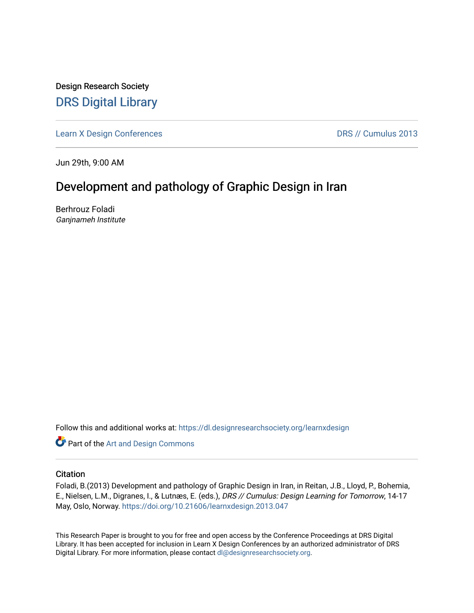Design Research Society [DRS Digital Library](https://dl.designresearchsociety.org/)

[Learn X Design Conferences](https://dl.designresearchsociety.org/learnxdesign) **DRS // Cumulus 2013** 

Jun 29th, 9:00 AM

# Development and pathology of Graphic Design in Iran

Berhrouz Foladi Ganjnameh Institute

Follow this and additional works at: [https://dl.designresearchsociety.org/learnxdesign](https://dl.designresearchsociety.org/learnxdesign?utm_source=dl.designresearchsociety.org%2Flearnxdesign%2Flearnxdesign2013%2Fresearchpapers%2F47&utm_medium=PDF&utm_campaign=PDFCoverPages)

**Part of the [Art and Design Commons](http://network.bepress.com/hgg/discipline/1049?utm_source=dl.designresearchsociety.org%2Flearnxdesign%2Flearnxdesign2013%2Fresearchpapers%2F47&utm_medium=PDF&utm_campaign=PDFCoverPages)** 

### **Citation**

Foladi, B.(2013) Development and pathology of Graphic Design in Iran, in Reitan, J.B., Lloyd, P., Bohemia, E., Nielsen, L.M., Digranes, I., & Lutnæs, E. (eds.), DRS // Cumulus: Design Learning for Tomorrow, 14-17 May, Oslo, Norway. <https://doi.org/10.21606/learnxdesign.2013.047>

This Research Paper is brought to you for free and open access by the Conference Proceedings at DRS Digital Library. It has been accepted for inclusion in Learn X Design Conferences by an authorized administrator of DRS Digital Library. For more information, please contact [dl@designresearchsociety.org](mailto:dl@designresearchsociety.org).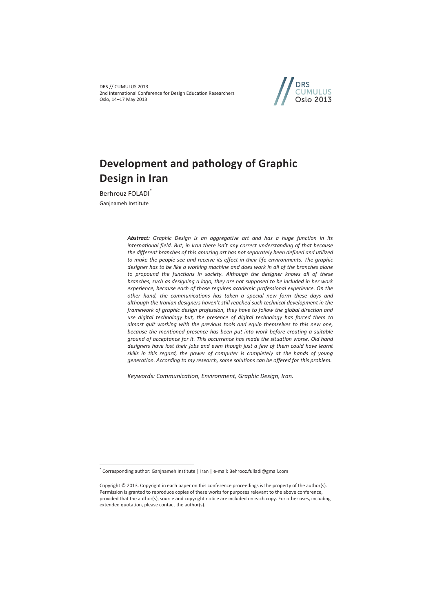DRS // CUMULUS 2013 2nd International Conference for Design Education Researchers Oslo, 14–17 May 2013



# **Development and pathology of Graphic Design in Iran**

Berhrouz FOLADI<sup>\*</sup> Ganjnameh Institute

 $\overline{a}$ 

*Abstract: Graphic Design is an aggregative art and has a huge function in its international field. But, in Iran there isn't any correct understanding of that because the different branches of this amazing art has not separately been defined and utilized*  to make the people see and receive its effect in their life environments. The graphic *designer has to be like a working machine and does work in all of the branches alone to propound the functions in society. Although the designer knows all of these branches, such as designing a logo, they are not supposed to be included in her work experience, because each of those requires academic professional experience. On the other hand, the communications has taken a special new form these days and although the Iranian designers haven't still reached such technical development in the framework of graphic design profession, they have to follow the global direction and use digital technology but, the presence of digital technology has forced them to almost quit working with the previous tools and equip themselves to this new one, because the mentioned presence has been put into work before creating a suitable ground of acceptance for it. This occurrence has made the situation worse. Old hand designers have lost their jobs and even though just a few of them could have learnt skills in this regard, the power of computer is completely at the hands of young generation. According to my research, some solutions can be offered for this problem.* 

*Keywords: Communication, Environment, Graphic Design, Iran.*

<sup>\*</sup> Corresponding author: Ganjnameh Institute | Iran | e-mail: Behrooz.fulladi@gmail.com

Copyright © 2013. Copyright in each paper on this conference proceedings is the property of the author(s). Permission is granted to reproduce copies of these works for purposes relevant to the above conference, provided that the author(s), source and copyright notice are included on each copy. For other uses, including extended quotation, please contact the author(s).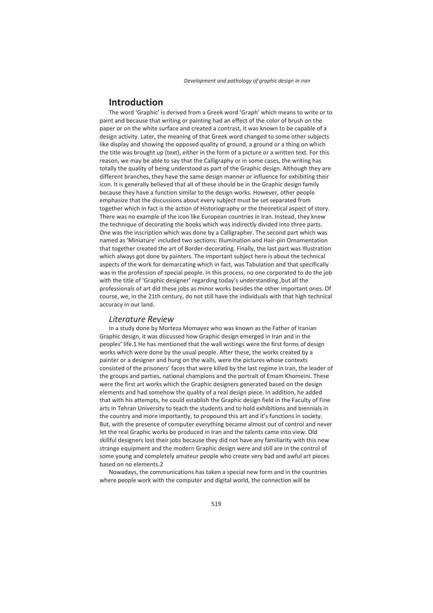### **Introduction**

The word 'Graphic' is derived from a Greek word 'Graph' which means to write or to paint and because that writing or painting had an effect of the color of brush on the paper or on the white surface and created a contrast, it was known to be capable of a design activity. Later, the meaning of that Greek word changed to some other subjects like display and showing the opposed quality of ground, a ground or a thing on which the title was brought up (text), either in the form of a picture or a written text. For this reason, we may be able to say that the Calligraphy or in some cases, the writing has totally the quality of being understood as part of the Graphic design. Although they are different branches, they have the same design manner or influence for exhibiting their icon. It is generally believed that all of these should be in the Graphic design family because they have a function similar to the design works. However, other people emphasize that the discussions about every subject must be set separated from together which in fact is the action of Historiography or the theoretical aspect of story. There was no example of the icon like European countries in Iran. Instead, they knew the technique of decorating the books which was indirectly divided into three parts. One was the inscription which was done by a Calligrapher. The second part which was named as 'Miniature' included two sections: Illumination and Hair-pin Ornamentation that together created the art of Border-decorating. Finally, the last part was Illustration which always got done by painters. The important subject here is about the technical aspects of the work for demarcating which in fact, was Tabulation and that specifically was in the profession of special people. In this process, no one corporated to do the job with the title of 'Graphic designer' regarding today's understanding ,but all the professionals of art did these jobs as minor works besides the other important ones. Of course, we, in the 21th century, do not still have the individuals with that high technical accuracy in our land.

### *Literature Review*

In a study done by Morteza Momayez who was known as the Father of Iranian Graphic design, it was discussed how Graphic design emerged in Iran and in the peoples' life.1 He has mentioned that the wall writings were the first forms of design works which were done by the usual people. After these, the works created by a painter or a designer and hung on the walls, were the pictures whose contexts consisted of the prisoners' faces that were killed by the last regime in Iran, the leader of the groups and parties, national champions and the portrait of Emam Khomeini. These were the first art works which the Graphic designers generated based on the design elements and had somehow the quality of a real design piece. In addition, he added that with his attempts, he could establish the Graphic design field in the Faculty of Fine arts in Tehran University to teach the students and to hold exhibitions and biennials in the country and more importantly, to propound this art and it's functions in society. But, with the presence of computer everything became almost out of control and never let the real Graphic works be produced in Iran and the talents came into view. Old skillful designers lost their jobs because they did not have any familiarity with this new strange equipment and the modern Graphic design were and still are in the control of some young and completely amateur people who create very bad and awful art pieces based on no elements.2

Nowadays, the communications has taken a special new form and in the countries where people work with the computer and digital world, the connection will be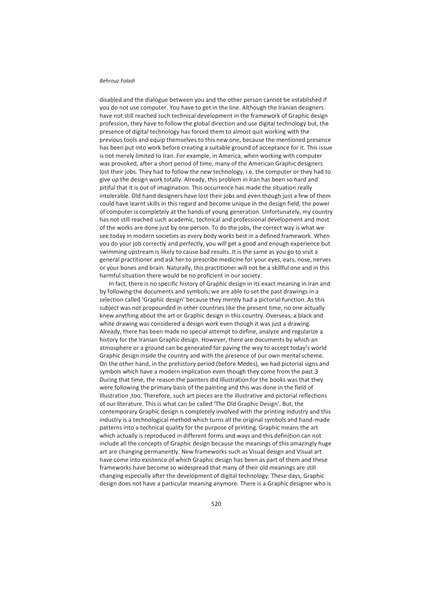#### *Behrouz Foladi*

disabled and the dialogue between you and the other person cannot be established if you do not use computer. You have to get in the line. Although the Iranian designers have not still reached such technical development in the framework of Graphic design profession, they have to follow the global direction and use digital technology but, the presence of digital technology has forced them to almost quit working with the previous tools and equip themselves to this new one, because the mentioned presence has been put into work before creating a suitable ground of acceptance for it. This issue is not merely limited to Iran. For example, in America, when working with computer was provoked, after a short period of time, many of the American Graphic designers lost their jobs. They had to follow the new technology, i.e. the computer or they had to give up the design work totally. Already, this problem in Iran has been so hard and pitiful that it is out of imagination. This occurrence has made the situation really intolerable. Old hand designers have lost their jobs and even though just a few of them could have learnt skills in this regard and become unique in the design field, the power of computer is completely at the hands of young generation. Unfortunately, my country has not still reached such academic, technical and professional development and most of the works are done just by one person. To do the jobs, the correct way is what we see today in modern societies as every body works best in a defined framework. When you do your job correctly and perfectly, you will get a good and enough experience but swimming upstream is likely to cause bad results. It is the same as you go to visit a general practitioner and ask her to prescribe medicine for your eyes, ears, nose, nerves or your bones and brain. Naturally, this practitioner will not be a skillful one and in this harmful situation there would be no proficient in our society.

In fact, there is no specific history of Graphic design in its exact meaning in Iran and by following the documents and symbols; we are able to set the past drawings in a selection called 'Graphic design' because they merely had a pictorial function. As this subject was not propounded in other countries like the present time, no one actually knew anything about the art or Graphic design in this country. Overseas, a black and white drawing was considered a design work even though it was just a drawing. Already, there has been made no special attempt to define, analyze and regularize a history for the Iranian Graphic design. However, there are documents by which an atmosphere or a ground can be generated for paving the way to accept today's world Graphic design inside the country and with the presence of our own mental scheme. On the other hand, in the prehistory period (before Medes), we had pictorial signs and symbols which have a modern implication even though they come from the past.3 During that time, the reason the painters did Illustration for the books was that they were following the primary basis of the painting and this was done in the field of Illustration ,too. Therefore, such art pieces are the illustrative and pictorial reflections of our literature. This is what can be called 'The Old Graphic Design'. But, the contemporary Graphic design is completely involved with the printing industry and this industry is a technological method which turns all the original symbols and hand-made patterns into a technical quality for the purpose of printing. Graphic means the art which actually is reproduced in different forms and ways and this definition can not include all the concepts of Graphic design because the meanings of this amazingly huge art are changing permanently. New frameworks such as Visual design and Visual art have come into existence of which Graphic design has been as part of them and these frameworks have become so widespread that many of their old meanings are still changing especially after the development of digital technology. These days, Graphic design does not have a particular meaning anymore. There is a Graphic designer who is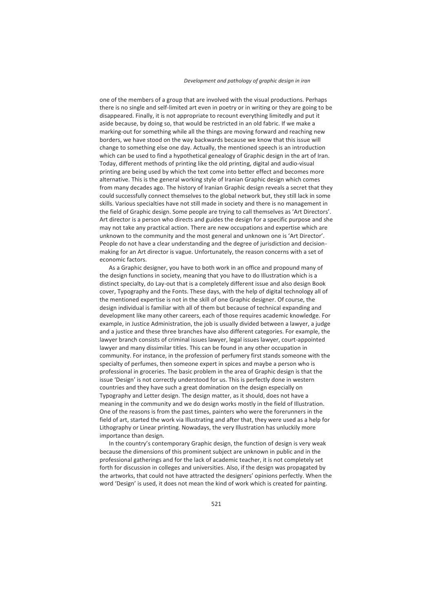one of the members of a group that are involved with the visual productions. Perhaps there is no single and self-limited art even in poetry or in writing or they are going to be disappeared. Finally, it is not appropriate to recount everything limitedly and put it aside because, by doing so, that would be restricted in an old fabric. If we make a marking-out for something while all the things are moving forward and reaching new borders, we have stood on the way backwards because we know that this issue will change to something else one day. Actually, the mentioned speech is an introduction which can be used to find a hypothetical genealogy of Graphic design in the art of Iran. Today, different methods of printing like the old printing, digital and audio-visual printing are being used by which the text come into better effect and becomes more alternative. This is the general working style of Iranian Graphic design which comes from many decades ago. The history of Iranian Graphic design reveals a secret that they could successfully connect themselves to the global network but, they still lack in some skills. Various specialties have not still made in society and there is no management in the field of Graphic design. Some people are trying to call themselves as 'Art Directors'. Art director is a person who directs and guides the design for a specific purpose and she may not take any practical action. There are new occupations and expertise which are unknown to the community and the most general and unknown one is 'Art Director'. People do not have a clear understanding and the degree of jurisdiction and decisionmaking for an Art director is vague. Unfortunately, the reason concerns with a set of economic factors.

As a Graphic designer, you have to both work in an office and propound many of the design functions in society, meaning that you have to do Illustration which is a distinct specialty, do Lay-out that is a completely different issue and also design Book cover, Typography and the Fonts. These days, with the help of digital technology all of the mentioned expertise is not in the skill of one Graphic designer. Of course, the design individual is familiar with all of them but because of technical expanding and development like many other careers, each of those requires academic knowledge. For example, in Justice Administration, the job is usually divided between a lawyer, a judge and a justice and these three branches have also different categories. For example, the lawyer branch consists of criminal issues lawyer, legal issues lawyer, court-appointed lawyer and many dissimilar titles. This can be found in any other occupation in community. For instance, in the profession of perfumery first stands someone with the specialty of perfumes, then someone expert in spices and maybe a person who is professional in groceries. The basic problem in the area of Graphic design is that the issue 'Design' is not correctly understood for us. This is perfectly done in western countries and they have such a great domination on the design especially on Typography and Letter design. The design matter, as it should, does not have a meaning in the community and we do design works mostly in the field of Illustration. One of the reasons is from the past times, painters who were the forerunners in the field of art, started the work via Illustrating and after that, they were used as a help for Lithography or Linear printing. Nowadays, the very Illustration has unluckily more importance than design.

In the country's contemporary Graphic design, the function of design is very weak because the dimensions of this prominent subject are unknown in public and in the professional gatherings and for the lack of academic teacher, it is not completely set forth for discussion in colleges and universities. Also, if the design was propagated by the artworks, that could not have attracted the designers' opinions perfectly. When the word 'Design' is used, it does not mean the kind of work which is created for painting.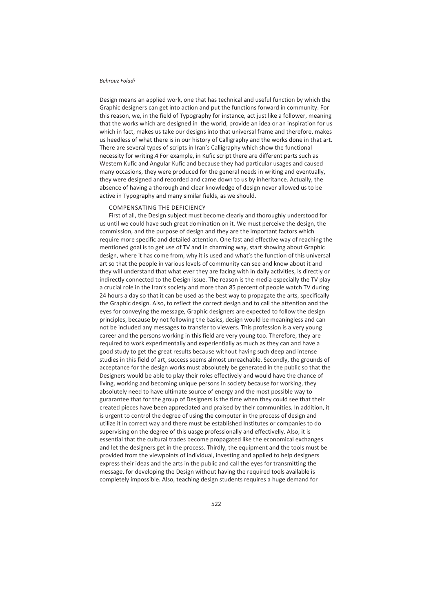#### *Behrouz Foladi*

Design means an applied work, one that has technical and useful function by which the Graphic designers can get into action and put the functions forward in community. For this reason, we, in the field of Typography for instance, act just like a follower, meaning that the works which are designed in the world, provide an idea or an inspiration for us which in fact, makes us take our designs into that universal frame and therefore, makes us heedless of what there is in our history of Calligraphy and the works done in that art. There are several types of scripts in Iran's Calligraphy which show the functional necessity for writing.4 For example, in Kufic script there are different parts such as Western Kufic and Angular Kufic and because they had particular usages and caused many occasions, they were produced for the general needs in writing and eventually, they were designed and recorded and came down to us by inheritance. Actually, the absence of having a thorough and clear knowledge of design never allowed us to be active in Typography and many similar fields, as we should.

#### COMPENSATING THE DEFICIENCY

First of all, the Design subject must become clearly and thoroughly understood for us until we could have such great domination on it. We must perceive the design, the commission, and the purpose of design and they are the important factors which require more specific and detailed attention. One fast and effective way of reaching the mentioned goal is to get use of TV and in charming way, start showing about Graphic design, where it has come from, why it is used and what's the function of this universal art so that the people in various levels of community can see and know about it and they will understand that what ever they are facing with in daily activities, is directly or indirectly connected to the Design issue. The reason is the media especially the TV play a crucial role in the Iran's society and more than 85 percent of people watch TV during 24 hours a day so that it can be used as the best way to propagate the arts, specifically the Graphic design. Also, to reflect the correct design and to call the attention and the eyes for conveying the message, Graphic designers are expected to follow the design principles, because by not following the basics, design would be meaningless and can not be included any messages to transfer to viewers. This profession is a very young career and the persons working in this field are very young too. Therefore, they are required to work experimentally and experientially as much as they can and have a good study to get the great results because without having such deep and intense studies in this field of art, success seems almost unreachable. Secondly, the grounds of acceptance for the design works must absolutely be generated in the public so that the Designers would be able to play their roles effectively and would have the chance of living, working and becoming unique persons in society because for working, they absolutely need to have ultimate source of energy and the most possible way to gurarantee that for the group of Designers is the time when they could see that their created pieces have been appreciated and praised by their communities. In addition, it is urgent to control the degree of using the computer in the process of design and utilize it in correct way and there must be established Institutes or companies to do supervising on the degree of this uasge professionally and effectivelly. Also, it is essential that the cultural trades become propagated like the economical exchanges and let the designers get in the process. Thirdly, the equipment and the tools must be provided from the viewpoints of individual, investing and applied to help designers express their ideas and the arts in the public and call the eyes for transmitting the message, for developing the Design without having the required tools available is completely impossible. Also, teaching design students requires a huge demand for